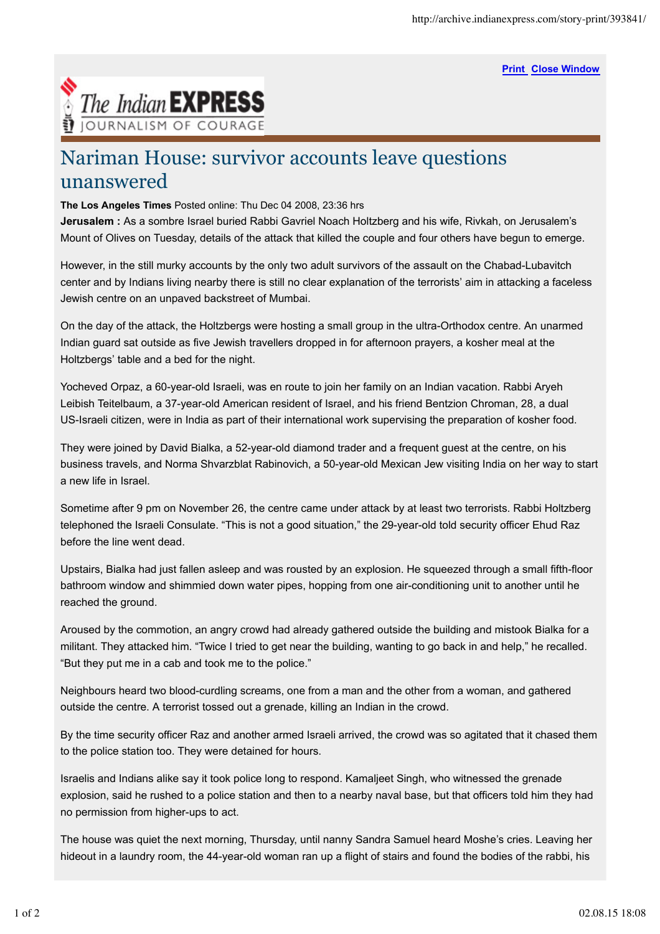**Print Close Window**



## Nariman House: survivor accounts leave questions unanswered

**The Los Angeles Times** Posted online: Thu Dec 04 2008, 23:36 hrs

**Jerusalem :** As a sombre Israel buried Rabbi Gavriel Noach Holtzberg and his wife, Rivkah, on Jerusalem's Mount of Olives on Tuesday, details of the attack that killed the couple and four others have begun to emerge.

However, in the still murky accounts by the only two adult survivors of the assault on the Chabad-Lubavitch center and by Indians living nearby there is still no clear explanation of the terrorists' aim in attacking a faceless Jewish centre on an unpaved backstreet of Mumbai.

On the day of the attack, the Holtzbergs were hosting a small group in the ultra-Orthodox centre. An unarmed Indian guard sat outside as five Jewish travellers dropped in for afternoon prayers, a kosher meal at the Holtzbergs' table and a bed for the night.

Yocheved Orpaz, a 60-year-old Israeli, was en route to join her family on an Indian vacation. Rabbi Aryeh Leibish Teitelbaum, a 37-year-old American resident of Israel, and his friend Bentzion Chroman, 28, a dual US-Israeli citizen, were in India as part of their international work supervising the preparation of kosher food.

They were joined by David Bialka, a 52-year-old diamond trader and a frequent guest at the centre, on his business travels, and Norma Shvarzblat Rabinovich, a 50-year-old Mexican Jew visiting India on her way to start a new life in Israel.

Sometime after 9 pm on November 26, the centre came under attack by at least two terrorists. Rabbi Holtzberg telephoned the Israeli Consulate. "This is not a good situation," the 29-year-old told security officer Ehud Raz before the line went dead.

Upstairs, Bialka had just fallen asleep and was rousted by an explosion. He squeezed through a small fifth-floor bathroom window and shimmied down water pipes, hopping from one air-conditioning unit to another until he reached the ground.

Aroused by the commotion, an angry crowd had already gathered outside the building and mistook Bialka for a militant. They attacked him. "Twice I tried to get near the building, wanting to go back in and help," he recalled. "But they put me in a cab and took me to the police."

Neighbours heard two blood-curdling screams, one from a man and the other from a woman, and gathered outside the centre. A terrorist tossed out a grenade, killing an Indian in the crowd.

By the time security officer Raz and another armed Israeli arrived, the crowd was so agitated that it chased them to the police station too. They were detained for hours.

Israelis and Indians alike say it took police long to respond. Kamaljeet Singh, who witnessed the grenade explosion, said he rushed to a police station and then to a nearby naval base, but that officers told him they had no permission from higher-ups to act.

The house was quiet the next morning, Thursday, until nanny Sandra Samuel heard Moshe's cries. Leaving her hideout in a laundry room, the 44-year-old woman ran up a flight of stairs and found the bodies of the rabbi, his